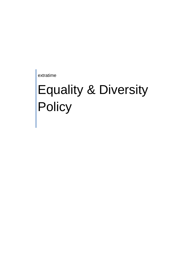extratime

# Equality & Diversity **Policy**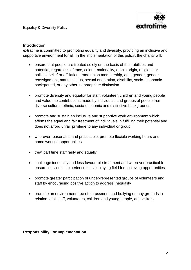

#### **Introduction**

extratime is committed to promoting equality and diversity, providing an inclusive and supportive environment for all. In the implementation of this policy, the charity will:

- ensure that people are treated solely on the basis of their abilities and potential, regardless of race, colour, nationality, ethnic origin, religious or political belief or affiliation, trade union membership, age, gender, gender reassignment, marital status, sexual orientation, disability, socio- economic background, or any other inappropriate distinction
- promote diversity and equality for staff, volunteer, children and young people and value the contributions made by individuals and groups of people from diverse cultural, ethnic, socio-economic and distinctive backgrounds
- promote and sustain an inclusive and supportive work environment which affirms the equal and fair treatment of individuals in fulfilling their potential and does not afford unfair privilege to any individual or group
- wherever reasonable and practicable, promote flexible working hours and home working opportunities
- treat part time staff fairly and equally
- challenge inequality and less favourable treatment and wherever practicable ensure individuals experience a level playing field for achieving opportunities
- promote greater participation of under-represented groups of volunteers and staff by encouraging positive action to address inequality
- promote an environment free of harassment and bullying on any grounds in relation to all staff, volunteers, children and young people, and visitors

## **Responsibility For Implementation**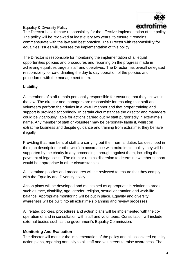

#### Equality & Diversity Policy

The Director has ultimate responsibility for the effective implementation of the policy. The policy will be reviewed at least every two years, to ensure it remains commensurate with the law and best practice. The Director with responsibility for equalities issues will, oversee the implementation of this policy.

The Director is responsible for monitoring the implementation of all equal opportunities policies and procedures and reporting on the progress made in achieving equalities targets staff and operatives. The Director has overall delegated responsibility for co-ordinating the day to day operation of the policies and procedures with the management team.

## **Liability**

All members of staff remain personally responsible for ensuring that they act within the law. The director and managers are responsible for ensuring that staff and volunteers perform their duties in a lawful manner and that proper training and support is provided accordingly. In certain circumstances the director and managers could be vicariously liable for actions carried out by staff purportedly in extratime's name. Any member of staff or volunteer may be personally liable if, whilst on extratime business and despite guidance and training from extratime, they behave illegally.

Providing that members of staff are carrying out their normal duties (as described in their job description or otherwise) in accordance with extratime's policy they will be supported by the charity in any proceedings brought against them, including the payment of legal costs. The director retains discretion to determine whether support would be appropriate in other circumstances.

All extratime policies and procedures will be reviewed to ensure that they comply with the Equality and Diversity policy.

Action plans will be developed and maintained as appropriate in relation to areas such as race, disability, age, gender, religion, sexual orientation and work-life balance. Appropriate monitoring will be put in place. Equality and diversity awareness will be built into all extratime's planning and review processes.

All related policies, procedures and action plans will be implemented with the cooperation of and in consultation with staff and volunteers. Consultation will include external bodies such as the government's Equality Commission.

## **Monitoring And Evaluation**

The director will monitor the implementation of the policy and all associated equality action plans, reporting annually to all staff and volunteers to raise awareness. The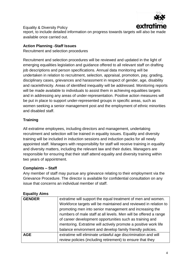

Equality & Diversity Policy report, to include detailed information on progress towards targets will also be made available once carried out.

## **Action Planning -Staff Issues**

Recruitment and selection procedures

Recruitment and selection procedures will be reviewed and updated in the light of emerging equalities legislation and guidance offered to all relevant staff on drafting job descriptions and person specifications. Annual data monitoring will be undertaken in relation to recruitment, selection, appraisal, promotion, pay, grading, disciplinary cases, grievances and harassment in respect of gender, age, disability and race/ethnicity. Areas of identified inequality will be addressed. Monitoring reports will be made available to individuals to assist them in achieving equalities targets and in addressing any areas of under-representation. Positive action measures will be put in place to support under-represented groups in specific areas, such as women seeking a senior management post and the employment of ethnic minorities and disabled staff.

## **Training**

All extratime employees, including directors and management, undertaking recruitment and selection will be trained in equality issues. Equality and diversity training will be included in induction sessions and induction packs for all newly appointed staff. Managers with responsibility for staff will receive training in equality and diversity matters, including the relevant law and their duties. Managers are responsible for ensuring that their staff attend equality and diversity training within two years of appointment.

## **Complaints – Staff**

Any member of staff may pursue any grievance relating to their employment via the Grievance Procedure. The director is available for confidential consultation on any issue that concerns an individual member of staff.

## **Equality Aims**

| <b>GENDER</b> | extratime will support the equal treatment of men and women.     |
|---------------|------------------------------------------------------------------|
|               | Workforce targets will be maintained and reviewed in relation to |
|               | promoting men into senior management and increasing the          |
|               | numbers of male staff at all levels. Men will be offered a range |
|               | of career development opportunities such as training and         |
|               | mentoring. Extratime will actively promote a positive work life  |
|               | balance environment and develop family friendly policies.        |
| <b>AGE</b>    | extratime will eliminate unlawful age discrimination and will    |
|               | review policies (including retirement) to ensure that they       |
|               |                                                                  |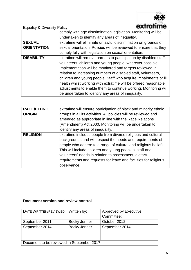

Equality & Diversity Policy

|                    | comply with age discrimination legislation. Monitoring will be     |  |  |  |
|--------------------|--------------------------------------------------------------------|--|--|--|
|                    | undertaken to identify any areas of inequality.                    |  |  |  |
| <b>SEXUAL</b>      | extratime will eliminate unlawful discrimination on grounds of     |  |  |  |
| <b>ORIENTATION</b> | sexual orientation. Policies will be reviewed to ensure that they  |  |  |  |
|                    | comply fully with legislation on sexual orientation.               |  |  |  |
| <b>DISABILITY</b>  | extratime will remove barriers to participation by disabled staff, |  |  |  |
|                    | volunteers, children and young people, wherever possible.          |  |  |  |
|                    | Implementation will be monitored and targets reviewed in           |  |  |  |
|                    | relation to increasing numbers of disabled staff, volunteers,      |  |  |  |
|                    | children and young people. Staff who acquire impairments or ill    |  |  |  |
|                    | health whilst working with extratime will be offered reasonable    |  |  |  |
|                    | adjustments to enable them to continue working. Monitoring will    |  |  |  |
|                    | be undertaken to identify any areas of inequality.                 |  |  |  |

| <b>RACE/ETHNIC</b> | extratime will ensure participation of black and minority ethnic |
|--------------------|------------------------------------------------------------------|
| <b>ORIGIN</b>      | groups in all its activities. All policies will be reviewed and  |
|                    | amended as appropriate in line with the Race Relations           |
|                    | (Amendment) Act 2000. Monitoring will be undertaken to           |
|                    | identify any areas of inequality.                                |
| <b>RELIGION</b>    | extratime includes people from diverse religious and cultural    |
|                    | backgrounds and will respect the needs and requirements of       |
|                    | people who adhere to a range of cultural and religious beliefs.  |
|                    | This will include children and young peoples, staff and          |
|                    | volunteers' needs in relation to assessment, dietary             |
|                    | requirements and requests for leave and facilities for religious |
|                    | observance.                                                      |

## **Document version and review control**

| DATE WRITTEN/REVIEWED                     | Written by:         | <b>Approved by Executive</b> |  |  |  |
|-------------------------------------------|---------------------|------------------------------|--|--|--|
|                                           |                     | Committee:                   |  |  |  |
| September 2011                            | Becky Jenner        | October 2012                 |  |  |  |
| September 2014                            | <b>Becky Jenner</b> | September 2014               |  |  |  |
|                                           |                     |                              |  |  |  |
|                                           |                     |                              |  |  |  |
| Document to be reviewed in September 2017 |                     |                              |  |  |  |